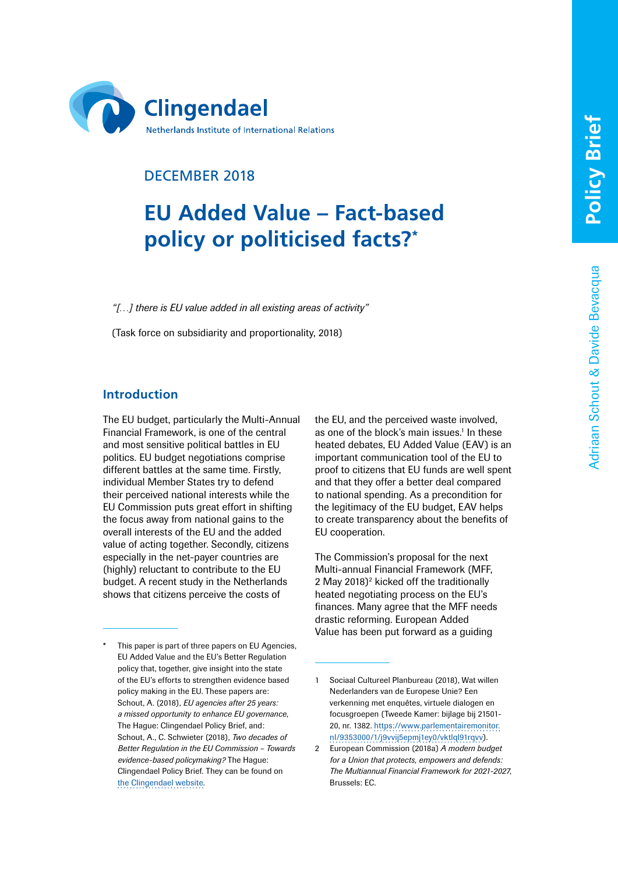Adriaan Schout & Davide Bevacqua

Adriaan Schout & Davide Bevacqua



# DECEMBER 2018

# **EU Added Value – Fact-based policy or politicised facts?\***

*"[…] there is EU value added in all existing areas of activity"*

(Task force on subsidiarity and proportionality, 2018)

## **Introduction**

The EU budget, particularly the Multi-Annual Financial Framework, is one of the central and most sensitive political battles in EU politics. EU budget negotiations comprise different battles at the same time. Firstly, individual Member States try to defend their perceived national interests while the EU Commission puts great effort in shifting the focus away from national gains to the overall interests of the EU and the added value of acting together. Secondly, citizens especially in the net-payer countries are (highly) reluctant to contribute to the EU budget. A recent study in the Netherlands shows that citizens perceive the costs of

This paper is part of three papers on EU Agencies, EU Added Value and the EU's Better Regulation policy that, together, give insight into the state of the EU's efforts to strengthen evidence based policy making in the EU. These papers are: Schout, A. (2018), *EU agencies after 25 years: a missed opportunity to enhance EU governance*, The Hague: Clingendael Policy Brief, and: Schout, A., C. Schwieter (2018), *Two decades of Better Regulation in the EU Commission – Towards evidence-based policymaking?* The Hague: Clingendael Policy Brief. They can be found on the [Clingendael website.](https://www.clingendael.org/person/adriaan-schout)

the EU, and the perceived waste involved, as one of the block's main issues.<sup>1</sup> In these heated debates, EU Added Value (EAV) is an important communication tool of the EU to proof to citizens that EU funds are well spent and that they offer a better deal compared to national spending. As a precondition for the legitimacy of the EU budget, EAV helps to create transparency about the benefits of EU cooperation.

The Commission's proposal for the next Multi-annual Financial Framework (MFF, 2 May 2018)<sup>2</sup> kicked off the traditionally heated negotiating process on the EU's finances. Many agree that the MFF needs drastic reforming. European Added Value has been put forward as a guiding

<sup>1</sup> Sociaal Cultureel Planbureau (2018), Wat willen Nederlanders van de Europese Unie? Een verkenning met enquêtes, virtuele dialogen en focusgroepen (Tweede Kamer: bijlage bij 21501- 20, nr. 1382. [https://www.parlementairemonitor.](https://www.parlementairemonitor.nl/9353000/1/j9vvij5epmj1ey0/vktlql91rqvv) [nl/9353000/1/j9vvij5epmj1ey0/vktlql91rqvv](https://www.parlementairemonitor.nl/9353000/1/j9vvij5epmj1ey0/vktlql91rqvv)).

<sup>2</sup> European Commission (2018a) *A modern budget for a Union that protects, empowers and defends: The Multiannual Financial Framework for 2021-2027*, Brussels: EC.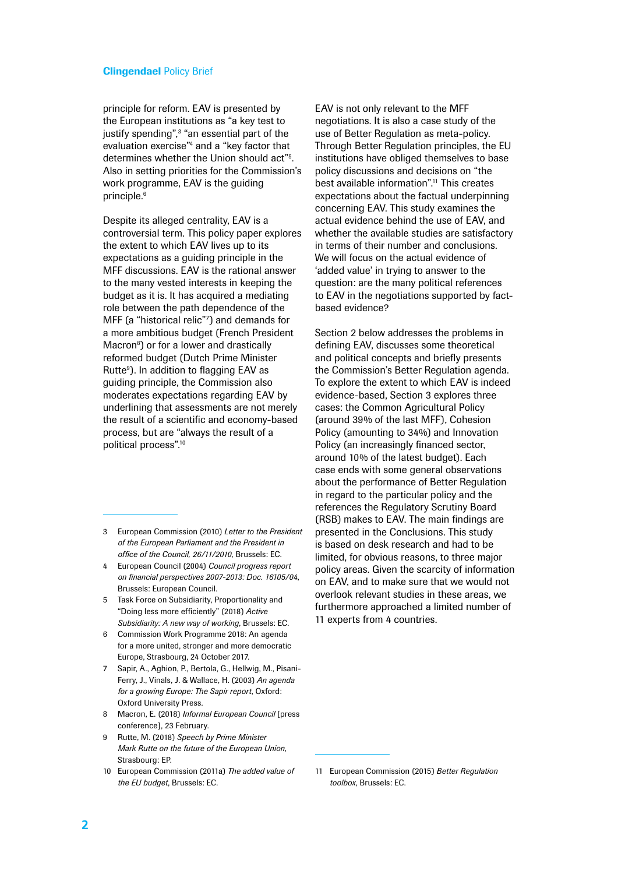principle for reform. EAV is presented by the European institutions as "a key test to justify spending",<sup>3</sup> "an essential part of the evaluation exercise"4 and a "key factor that determines whether the Union should act"5 . Also in setting priorities for the Commission's work programme, EAV is the guiding principle.<sup>6</sup>

Despite its alleged centrality, EAV is a controversial term. This policy paper explores the extent to which EAV lives up to its expectations as a guiding principle in the MFF discussions. EAV is the rational answer to the many vested interests in keeping the budget as it is. It has acquired a mediating role between the path dependence of the MFF (a "historical relic"7 ) and demands for a more ambitious budget (French President Macron<sup>8</sup>) or for a lower and drastically reformed budget (Dutch Prime Minister Rutte<sup>9</sup>). In addition to flagging EAV as guiding principle, the Commission also moderates expectations regarding EAV by underlining that assessments are not merely the result of a scientific and economy-based process, but are "always the result of a political process".10

- 3 European Commission (2010) *Letter to the President of the European Parliament and the President in office of the Council, 26/11/2010*, Brussels: EC.
- 4 European Council (2004) *Council progress report on financial perspectives 2007-2013: Doc. 16105/04*, Brussels: European Council.
- 5 Task Force on Subsidiarity, Proportionality and "Doing less more efficiently" (2018) *Active Subsidiarity: A new way of working*, Brussels: EC.
- 6 Commission Work Programme 2018: An agenda for a more united, stronger and more democratic Europe, Strasbourg, 24 October 2017.
- 7 Sapir, A., Aghion, P., Bertola, G., Hellwig, M., Pisani-Ferry, J., Vinals, J. & Wallace, H. (2003) *An agenda for a growing Europe: The Sapir report*, Oxford: Oxford University Press.
- 8 Macron, E. (2018) *Informal European Council* [press conference], 23 February.
- 9 Rutte, M. (2018) *Speech by Prime Minister Mark Rutte on the future of the European Union*, Strasbourg: EP.
- 10 European Commission (2011a) *The added value of the EU budget*, Brussels: EC.

EAV is not only relevant to the MFF negotiations. It is also a case study of the use of Better Regulation as meta-policy. Through Better Regulation principles, the EU institutions have obliged themselves to base policy discussions and decisions on "the best available information".11 This creates expectations about the factual underpinning concerning EAV. This study examines the actual evidence behind the use of EAV, and whether the available studies are satisfactory in terms of their number and conclusions. We will focus on the actual evidence of 'added value' in trying to answer to the question: are the many political references to EAV in the negotiations supported by factbased evidence?

Section 2 below addresses the problems in defining EAV, discusses some theoretical and political concepts and briefly presents the Commission's Better Regulation agenda. To explore the extent to which EAV is indeed evidence-based, Section 3 explores three cases: the Common Agricultural Policy (around 39% of the last MFF), Cohesion Policy (amounting to 34%) and Innovation Policy (an increasingly financed sector, around 10% of the latest budget). Each case ends with some general observations about the performance of Better Regulation in regard to the particular policy and the references the Regulatory Scrutiny Board (RSB) makes to EAV. The main findings are presented in the Conclusions. This study is based on desk research and had to be limited, for obvious reasons, to three major policy areas. Given the scarcity of information on EAV, and to make sure that we would not overlook relevant studies in these areas, we furthermore approached a limited number of 11 experts from 4 countries.

<sup>11</sup> European Commission (2015) *Better Regulation toolbox*, Brussels: EC.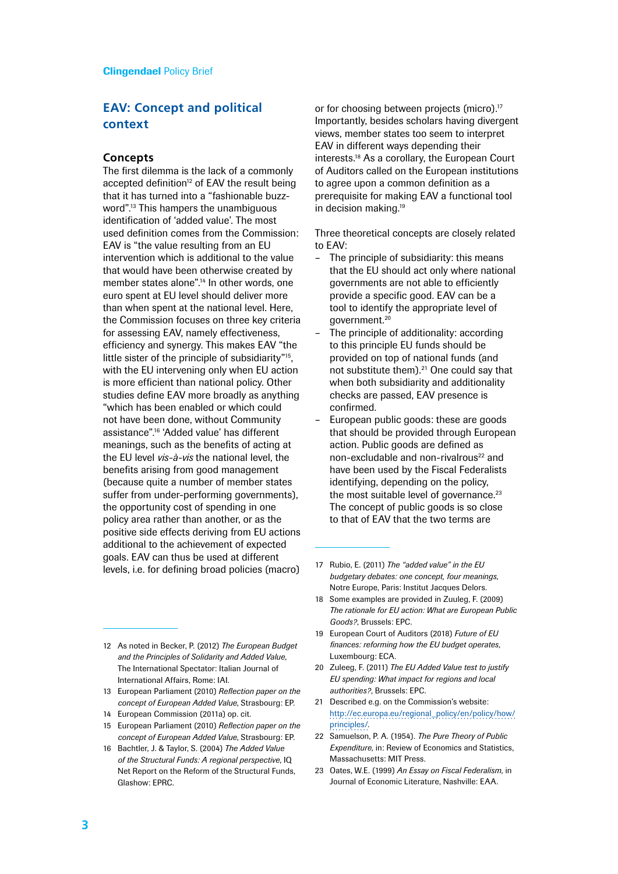# **EAV: Concept and political context**

#### **Concepts**

The first dilemma is the lack of a commonly accepted definition<sup>12</sup> of EAV the result being that it has turned into a "fashionable buzzword".13 This hampers the unambiguous identification of 'added value'. The most used definition comes from the Commission: EAV is "the value resulting from an EU intervention which is additional to the value that would have been otherwise created by member states alone".<sup>14</sup> In other words, one euro spent at EU level should deliver more than when spent at the national level. Here, the Commission focuses on three key criteria for assessing EAV, namely effectiveness, efficiency and synergy. This makes EAV "the little sister of the principle of subsidiarity"15, with the EU intervening only when EU action is more efficient than national policy. Other studies define EAV more broadly as anything "which has been enabled or which could not have been done, without Community assistance".16 'Added value' has different meanings, such as the benefits of acting at the EU level *vis-à-vis* the national level, the benefits arising from good management (because quite a number of member states suffer from under-performing governments). the opportunity cost of spending in one policy area rather than another, or as the positive side effects deriving from EU actions additional to the achievement of expected goals. EAV can thus be used at different levels, i.e. for defining broad policies (macro)

- 12 As noted in Becker, P. (2012) *The European Budget and the Principles of Solidarity and Added Value*, The International Spectator: Italian Journal of International Affairs, Rome: IAI.
- 13 European Parliament (2010) *Reflection paper on the concept of European Added Value*, Strasbourg: EP.
- 14 European Commission (2011a) op. cit.
- 15 European Parliament (2010) *Reflection paper on the concept of European Added Value*, Strasbourg: EP.
- 16 Bachtler, J. & Taylor, S. (2004) *The Added Value of the Structural Funds: A regional perspective*, IQ Net Report on the Reform of the Structural Funds, Glashow: EPRC.

or for choosing between projects (micro).<sup>17</sup> Importantly, besides scholars having divergent views, member states too seem to interpret EAV in different ways depending their interests.18 As a corollary, the European Court of Auditors called on the European institutions to agree upon a common definition as a prerequisite for making EAV a functional tool in decision making.<sup>19</sup>

Three theoretical concepts are closely related to EAV:

- The principle of subsidiarity: this means that the EU should act only where national governments are not able to efficiently provide a specific good. EAV can be a tool to identify the appropriate level of government.20
- The principle of additionality: according to this principle EU funds should be provided on top of national funds (and not substitute them).<sup>21</sup> One could say that when both subsidiarity and additionality checks are passed, EAV presence is confirmed.
- European public goods: these are goods that should be provided through European action. Public goods are defined as non-excludable and non-rivalrous<sup>22</sup> and have been used by the Fiscal Federalists identifying, depending on the policy, the most suitable level of governance. $23$ The concept of public goods is so close to that of EAV that the two terms are

- 18 Some examples are provided in Zuuleg, F. (2009) *The rationale for EU action: What are European Public Goods?*, Brussels: EPC.
- 19 European Court of Auditors (2018) *Future of EU finances: reforming how the EU budget operates*, Luxembourg: ECA.
- 20 Zuleeg, F. (2011) *The EU Added Value test to justify EU spending: What impact for regions and local authorities?*, Brussels: EPC.
- 21 Described e.g. on the Commission's website: [http://ec.europa.eu/regional\\_policy/en/policy/how/](http://ec.europa.eu/regional_policy/en/policy/how/principles/) [principles/](http://ec.europa.eu/regional_policy/en/policy/how/principles/).
- 22 Samuelson, P. A. (1954). *The Pure Theory of Public Expenditure*, in: Review of Economics and Statistics, Massachusetts: MIT Press.
- 23 Oates, W.E. (1999) *An Essay on Fiscal Federalism*, in Journal of Economic Literature, Nashville: EAA.

<sup>17</sup> Rubio, E. (2011) *The "added value" in the EU budgetary debates: one concept, four meanings*, Notre Europe, Paris: Institut Jacques Delors.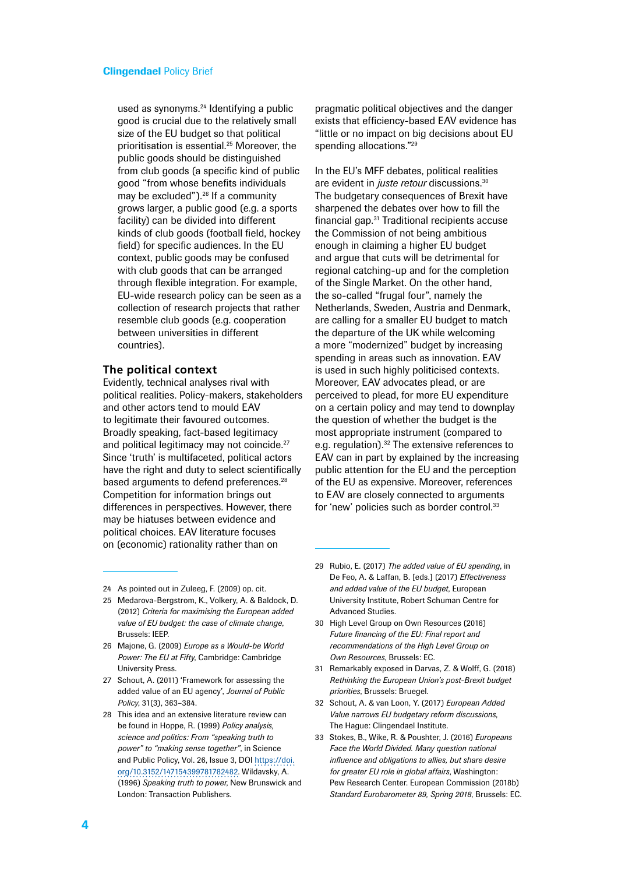used as synonyms.<sup>24</sup> Identifying a public good is crucial due to the relatively small size of the EU budget so that political prioritisation is essential.25 Moreover, the public goods should be distinguished from club goods (a specific kind of public good "from whose benefits individuals may be excluded").<sup>26</sup> If a community grows larger, a public good (e.g. a sports facility) can be divided into different kinds of club goods (football field, hockey field) for specific audiences. In the EU context, public goods may be confused with club goods that can be arranged through flexible integration. For example, EU-wide research policy can be seen as a collection of research projects that rather resemble club goods (e.g. cooperation between universities in different countries).

#### **The political context**

Evidently, technical analyses rival with political realities. Policy-makers, stakeholders and other actors tend to mould EAV to legitimate their favoured outcomes. Broadly speaking, fact-based legitimacy and political legitimacy may not coincide.<sup>27</sup> Since 'truth' is multifaceted, political actors have the right and duty to select scientifically based arguments to defend preferences.<sup>28</sup> Competition for information brings out differences in perspectives. However, there may be hiatuses between evidence and political choices. EAV literature focuses on (economic) rationality rather than on

pragmatic political objectives and the danger exists that efficiency-based EAV evidence has "little or no impact on big decisions about EU spending allocations."<sup>29</sup>

In the EU's MFF debates, political realities are evident in *juste retour* discussions.30 The budgetary consequences of Brexit have sharpened the debates over how to fill the financial gap.31 Traditional recipients accuse the Commission of not being ambitious enough in claiming a higher EU budget and argue that cuts will be detrimental for regional catching-up and for the completion of the Single Market. On the other hand, the so-called "frugal four", namely the Netherlands, Sweden, Austria and Denmark, are calling for a smaller EU budget to match the departure of the UK while welcoming a more "modernized" budget by increasing spending in areas such as innovation. EAV is used in such highly politicised contexts. Moreover, EAV advocates plead, or are perceived to plead, for more EU expenditure on a certain policy and may tend to downplay the question of whether the budget is the most appropriate instrument (compared to e.g. regulation).<sup>32</sup> The extensive references to EAV can in part by explained by the increasing public attention for the EU and the perception of the EU as expensive. Moreover, references to EAV are closely connected to arguments for 'new' policies such as border control.<sup>33</sup>

- 24 As pointed out in Zuleeg, F. (2009) op. cit.
- 25 Medarova-Bergstrom, K., Volkery, A. & Baldock, D. (2012) *Criteria for maximising the European added value of EU budget: the case of climate change*, Brussels: IEEP.
- 26 Majone, G. (2009) *Europe as a Would-be World Power: The EU at Fifty*, Cambridge: Cambridge University Press.
- 27 Schout, A. (2011) 'Framework for assessing the added value of an EU agency', *Journal of Public Policy*, 31(3), 363–384.
- 28 This idea and an extensive literature review can be found in Hoppe, R. (1999) *Policy analysis, science and politics: From "speaking truth to power" to "making sense together"*, in Science and Public Policy, Vol. 26, Issue 3, DOI [https://doi.](https://doi.org/10.3152/147154399781782482) [org/10.3152/147154399781782482](https://doi.org/10.3152/147154399781782482). Wildavsky, A. (1996) *Speaking truth to power*, New Brunswick and London: Transaction Publishers.
- 29 Rubio, E. (2017) *The added value of EU spending*, in De Feo, A. & Laffan, B. [eds.] (2017) *Effectiveness and added value of the EU budget*, European University Institute, Robert Schuman Centre for Advanced Studies.
- 30 High Level Group on Own Resources (2016) *Future financing of the EU: Final report and recommendations of the High Level Group on Own Resources*, Brussels: EC.
- 31 Remarkably exposed in Darvas, Z. & Wolff, G. (2018) *Rethinking the European Union's post-Brexit budget priorities*, Brussels: Bruegel.
- 32 Schout, A. & van Loon, Y. (2017) *European Added Value narrows EU budgetary reform discussions*, The Hague: Clingendael Institute.
- 33 Stokes, B., Wike, R. & Poushter, J. (2016) *Europeans Face the World Divided. Many question national influence and obligations to allies, but share desire for greater EU role in global affairs*, Washington: Pew Research Center. European Commission (2018b) *Standard Eurobarometer 89, Spring 2018*, Brussels: EC.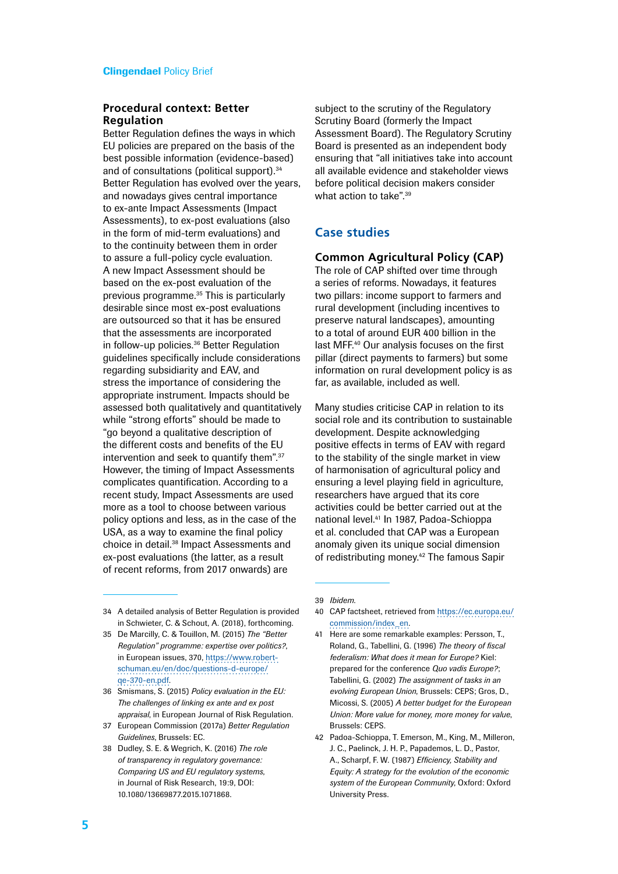### **Procedural context: Better Regulation**

Better Regulation defines the ways in which EU policies are prepared on the basis of the best possible information (evidence-based) and of consultations (political support).<sup>34</sup> Better Regulation has evolved over the years, and nowadays gives central importance to ex-ante Impact Assessments (Impact Assessments), to ex-post evaluations (also in the form of mid-term evaluations) and to the continuity between them in order to assure a full-policy cycle evaluation. A new Impact Assessment should be based on the ex-post evaluation of the previous programme.35 This is particularly desirable since most ex-post evaluations are outsourced so that it has be ensured that the assessments are incorporated in follow-up policies.36 Better Regulation guidelines specifically include considerations regarding subsidiarity and EAV, and stress the importance of considering the appropriate instrument. Impacts should be assessed both qualitatively and quantitatively while "strong efforts" should be made to "go beyond a qualitative description of the different costs and benefits of the EU intervention and seek to quantify them".37 However, the timing of Impact Assessments complicates quantification. According to a recent study, Impact Assessments are used more as a tool to choose between various policy options and less, as in the case of the USA, as a way to examine the final policy choice in detail.38 Impact Assessments and ex-post evaluations (the latter, as a result of recent reforms, from 2017 onwards) are

subject to the scrutiny of the Regulatory Scrutiny Board (formerly the Impact Assessment Board). The Regulatory Scrutiny Board is presented as an independent body ensuring that "all initiatives take into account all available evidence and stakeholder views before political decision makers consider what action to take".<sup>39</sup>

## **Case studies**

## **Common Agricultural Policy (CAP)**

The role of CAP shifted over time through a series of reforms. Nowadays, it features two pillars: income support to farmers and rural development (including incentives to preserve natural landscapes), amounting to a total of around EUR 400 billion in the last MFF.40 Our analysis focuses on the first pillar (direct payments to farmers) but some information on rural development policy is as far, as available, included as well.

Many studies criticise CAP in relation to its social role and its contribution to sustainable development. Despite acknowledging positive effects in terms of EAV with regard to the stability of the single market in view of harmonisation of agricultural policy and ensuring a level playing field in agriculture, researchers have argued that its core activities could be better carried out at the national level.41 In 1987, Padoa-Schioppa et al. concluded that CAP was a European anomaly given its unique social dimension of redistributing money.<sup>42</sup> The famous Sapir

- 35 De Marcilly, C. & Touillon, M. (2015) *The "Better Regulation" programme: expertise over politics?*, in European issues, 370, [https://www.robert](https://www.robert-schuman.eu/en/doc/questions-d-europe/qe-370-en.pdf)[schuman.eu/en/doc/questions-d-europe/](https://www.robert-schuman.eu/en/doc/questions-d-europe/qe-370-en.pdf) [qe-370-en.pdf.](https://www.robert-schuman.eu/en/doc/questions-d-europe/qe-370-en.pdf)
- 36 Smismans, S. (2015) *Policy evaluation in the EU: The challenges of linking ex ante and ex post appraisal*, in European Journal of Risk Regulation.
- 37 European Commission (2017a) *Better Regulation Guidelines*, Brussels: EC.
- 38 Dudley, S. E. & Wegrich, K. (2016) *The role of transparency in regulatory governance: Comparing US and EU regulatory systems*, in Journal of Risk Research, 19:9, DOI: 10.1080/13669877.2015.1071868.

39 *Ibidem*.

- 40 CAP factsheet, retrieved from [https://ec.europa.eu/](https://ec.europa.eu/commission/index_en) [commission/index\\_en.](https://ec.europa.eu/commission/index_en)
- 41 Here are some remarkable examples: Persson, T., Roland, G., Tabellini, G. (1996) *The theory of fiscal federalism: What does it mean for Europe?* Kiel: prepared for the conference *Quo vadis Europe?*; Tabellini, G. (2002) *The assignment of tasks in an evolving European Union*, Brussels: CEPS; Gros, D., Micossi, S. (2005) *A better budget for the European Union: More value for money, more money for value*, Brussels: CEPS.
- 42 Padoa-Schioppa, T. Emerson, M., King, M., Milleron, J. C., Paelinck, J. H. P., Papademos, L. D., Pastor, A., Scharpf, F. W. (1987) *Efficiency, Stability and Equity: A strategy for the evolution of the economic system of the European Community*, Oxford: Oxford University Press.

<sup>34</sup> A detailed analysis of Better Regulation is provided in Schwieter, C. & Schout, A. (2018), forthcoming.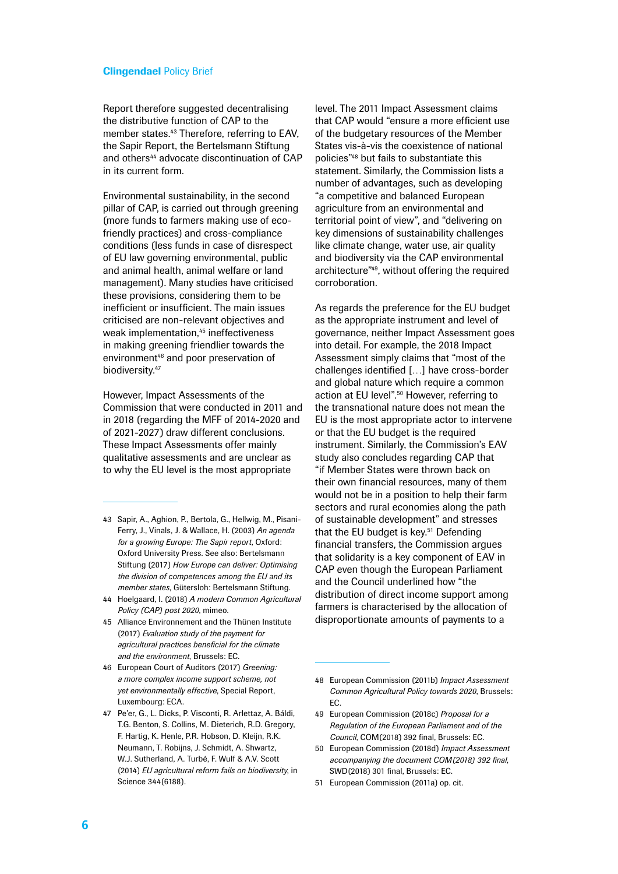Report therefore suggested decentralising the distributive function of CAP to the member states.43 Therefore, referring to EAV, the Sapir Report, the Bertelsmann Stiftung and others<sup>44</sup> advocate discontinuation of CAP in its current form.

Environmental sustainability, in the second pillar of CAP, is carried out through greening (more funds to farmers making use of ecofriendly practices) and cross-compliance conditions (less funds in case of disrespect of EU law governing environmental, public and animal health, animal welfare or land management). Many studies have criticised these provisions, considering them to be inefficient or insufficient. The main issues criticised are non-relevant objectives and weak implementation,<sup>45</sup> ineffectiveness in making greening friendlier towards the environment<sup>46</sup> and poor preservation of biodiversity.<sup>47</sup>

However, Impact Assessments of the Commission that were conducted in 2011 and in 2018 (regarding the MFF of 2014-2020 and of 2021-2027) draw different conclusions. These Impact Assessments offer mainly qualitative assessments and are unclear as to why the EU level is the most appropriate

- 43 Sapir, A., Aghion, P., Bertola, G., Hellwig, M., Pisani-Ferry, J., Vinals, J. & Wallace, H. (2003) *An agenda for a growing Europe: The Sapir report*, Oxford: Oxford University Press. See also: Bertelsmann Stiftung (2017) *How Europe can deliver: Optimising the division of competences among the EU and its member states*, Gütersloh: Bertelsmann Stiftung.
- 44 Hoelgaard, I. (2018) *A modern Common Agricultural Policy (CAP) post 2020*, mimeo.
- 45 Alliance Environnement and the Thünen Institute (2017) *Evaluation study of the payment for agricultural practices beneficial for the climate and the environment*, Brussels: EC.
- 46 European Court of Auditors (2017) *Greening: a more complex income support scheme, not yet environmentally effective*, Special Report, Luxembourg: ECA.
- 47 Pe'er, G., L. Dicks, P. Visconti, R. Arlettaz, A. Báldi, T.G. Benton, S. Collins, M. Dieterich, R.D. Gregory, F. Hartig, K. Henle, P.R. Hobson, D. Kleijn, R.K. Neumann, T. Robijns, J. Schmidt, A. Shwartz, W.J. Sutherland, A. Turbé, F. Wulf & A.V. Scott (2014) *EU agricultural reform fails on biodiversity*, in Science 344(6188).

level. The 2011 Impact Assessment claims that CAP would "ensure a more efficient use of the budgetary resources of the Member States vis-à-vis the coexistence of national policies"48 but fails to substantiate this statement. Similarly, the Commission lists a number of advantages, such as developing "a competitive and balanced European agriculture from an environmental and territorial point of view", and "delivering on key dimensions of sustainability challenges like climate change, water use, air quality and biodiversity via the CAP environmental architecture"49, without offering the required corroboration.

As regards the preference for the EU budget as the appropriate instrument and level of governance, neither Impact Assessment goes into detail. For example, the 2018 Impact Assessment simply claims that "most of the challenges identified […] have cross-border and global nature which require a common action at EU level".50 However, referring to the transnational nature does not mean the EU is the most appropriate actor to intervene or that the EU budget is the required instrument. Similarly, the Commission's EAV study also concludes regarding CAP that "if Member States were thrown back on their own financial resources, many of them would not be in a position to help their farm sectors and rural economies along the path of sustainable development" and stresses that the EU budget is key.<sup>51</sup> Defending financial transfers, the Commission argues that solidarity is a key component of EAV in CAP even though the European Parliament and the Council underlined how "the distribution of direct income support among farmers is characterised by the allocation of disproportionate amounts of payments to a

- 49 European Commission (2018c) *Proposal for a Regulation of the European Parliament and of the Council*, COM(2018) 392 final, Brussels: EC.
- 50 European Commission (2018d) *Impact Assessment accompanying the document COM(2018) 392 final*, SWD(2018) 301 final, Brussels: EC.
- 51 European Commission (2011a) op. cit.

<sup>48</sup> European Commission (2011b) *Impact Assessment Common Agricultural Policy towards 2020*, Brussels: EC.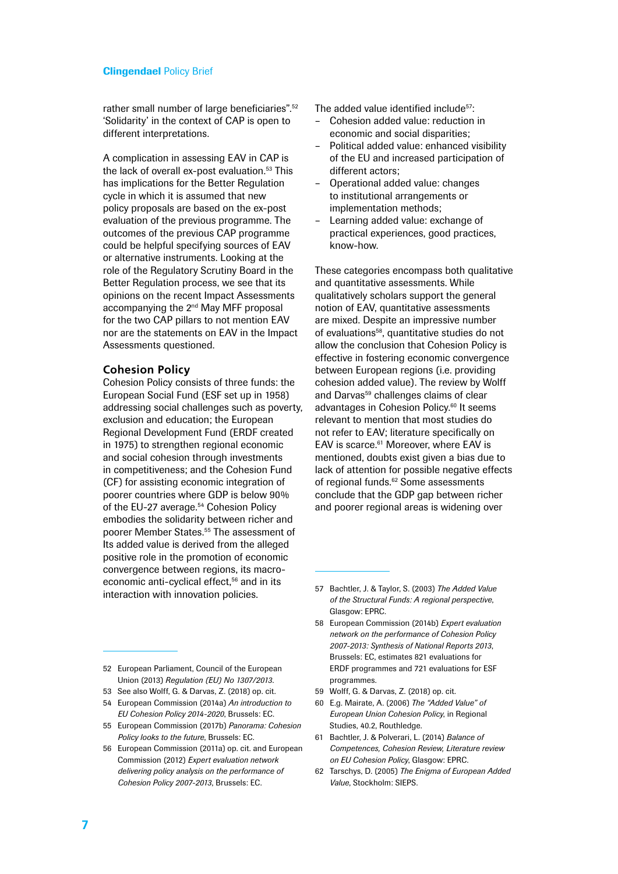rather small number of large beneficiaries".<sup>52</sup> 'Solidarity' in the context of CAP is open to different interpretations.

A complication in assessing EAV in CAP is the lack of overall ex-post evaluation.<sup>53</sup> This has implications for the Better Regulation cycle in which it is assumed that new policy proposals are based on the ex-post evaluation of the previous programme. The outcomes of the previous CAP programme could be helpful specifying sources of EAV or alternative instruments. Looking at the role of the Regulatory Scrutiny Board in the Better Regulation process, we see that its opinions on the recent Impact Assessments accompanying the 2<sup>nd</sup> May MFF proposal for the two CAP pillars to not mention EAV nor are the statements on EAV in the Impact Assessments questioned.

#### **Cohesion Policy**

Cohesion Policy consists of three funds: the European Social Fund (ESF set up in 1958) addressing social challenges such as poverty, exclusion and education; the European Regional Development Fund (ERDF created in 1975) to strengthen regional economic and social cohesion through investments in competitiveness; and the Cohesion Fund (CF) for assisting economic integration of poorer countries where GDP is below 90% of the EU-27 average.<sup>54</sup> Cohesion Policy embodies the solidarity between richer and poorer Member States.55 The assessment of Its added value is derived from the alleged positive role in the promotion of economic convergence between regions, its macroeconomic anti-cyclical effect.<sup>56</sup> and in its interaction with innovation policies.

The added value identified include<sup>57</sup>:

- Cohesion added value: reduction in economic and social disparities;
- Political added value: enhanced visibility of the EU and increased participation of different actors;
- Operational added value: changes to institutional arrangements or implementation methods;
- Learning added value: exchange of practical experiences, good practices, know-how.

These categories encompass both qualitative and quantitative assessments. While qualitatively scholars support the general notion of EAV, quantitative assessments are mixed. Despite an impressive number of evaluations<sup>58</sup>, quantitative studies do not allow the conclusion that Cohesion Policy is effective in fostering economic convergence between European regions (i.e. providing cohesion added value). The review by Wolff and Darvas<sup>59</sup> challenges claims of clear advantages in Cohesion Policy.60 It seems relevant to mention that most studies do not refer to EAV; literature specifically on EAV is scarce.<sup>61</sup> Moreover, where EAV is mentioned, doubts exist given a bias due to lack of attention for possible negative effects of regional funds.<sup>62</sup> Some assessments conclude that the GDP gap between richer and poorer regional areas is widening over

Union (2013) *Regulation (EU) No 1307/2013*.

- 53 See also Wolff, G. & Darvas, Z. (2018) op. cit.
- 54 European Commission (2014a) *An introduction to EU Cohesion Policy 2014-2020*, Brussels: EC.
- 55 European Commission (2017b) *Panorama: Cohesion Policy looks to the future*, Brussels: EC.
- 56 European Commission (2011a) op. cit. and European Commission (2012) *Expert evaluation network delivering policy analysis on the performance of Cohesion Policy 2007-2013*, Brussels: EC.
- 57 Bachtler, J. & Taylor, S. (2003) *The Added Value of the Structural Funds: A regional perspective*, Glasgow: EPRC.
- 58 European Commission (2014b) *Expert evaluation network on the performance of Cohesion Policy 2007-2013: Synthesis of National Reports 2013*, Brussels: EC, estimates 821 evaluations for ERDF programmes and 721 evaluations for ESF programmes.
- 59 Wolff, G. & Darvas, Z. (2018) op. cit.
- 60 E.g. Mairate, A. (2006) *The "Added Value" of European Union Cohesion Policy*, in Regional Studies, 40.2, Routhledge.
- 61 Bachtler, J. & Polverari, L. (2014) *Balance of Competences, Cohesion Review, Literature review on EU Cohesion Policy*, Glasgow: EPRC.
- 62 Tarschys, D. (2005) *The Enigma of European Added Value*, Stockholm: SIEPS.

<sup>52</sup> European Parliament, Council of the European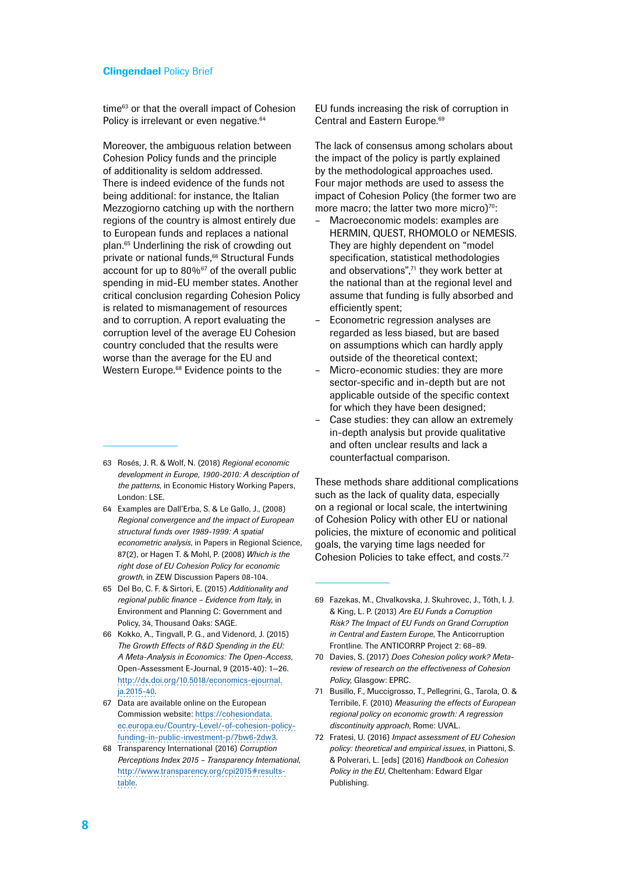time<sup>63</sup> or that the overall impact of Cohesion Policy is irrelevant or even negative.<sup>64</sup>

Moreover, the ambiguous relation between Cohesion Policy funds and the principle of additionality is seldom addressed. There is indeed evidence of the funds not being additional: for instance, the Italian Mezzogiorno catching up with the northern regions of the country is almost entirely due to European funds and replaces a national plan.65 Underlining the risk of crowding out private or national funds,<sup>66</sup> Structural Funds account for up to  $80\%$ <sup>67</sup> of the overall public spending in mid-EU member states. Another critical conclusion regarding Cohesion Policy is related to mismanagement of resources and to corruption. A report evaluating the corruption level of the average EU Cohesion country concluded that the results were worse than the average for the EU and Western Europe.<sup>68</sup> Evidence points to the

- 64 Examples are Dall'Erba, S. & Le Gallo, J., (2008) *Regional convergence and the impact of European structural funds over 1989-1999: A spatial econometric analysis*, in Papers in Regional Science, 87(2), or Hagen T. & Mohl, P. (2008) *Which is the right dose of EU Cohesion Policy for economic growth*, in ZEW Discussion Papers 08-104.
- 65 Del Bo, C. F. & Sirtori, E. (2015) *Additionality and regional public finance – Evidence from Italy*, in Environment and Planning C: Government and Policy, 34, Thousand Oaks: SAGE.
- 66 Kokko, A., Tingvall, P. G., and Videnord, J. (2015) *The Growth Effects of R&D Spending in the EU: A Meta-Analysis in Economics: The Open-Access*, Open-Assessment E-Journal, 9 (2015-40): 1—26. [http://dx.doi.org/10.5018/economics-ejournal.](http://dx.doi.org/10.5018/economics-ejournal.ja.2015-40) [ja.2015-40](http://dx.doi.org/10.5018/economics-ejournal.ja.2015-40).
- 67 Data are available online on the European Commission website: [https://cohesiondata.](https://cohesiondata.ec.europa.eu/Country-Level/-of-cohesion-policy-funding-in-public-investment-p/7bw6-2dw3) [ec.europa.eu/Country-Level/-of-cohesion-policy](https://cohesiondata.ec.europa.eu/Country-Level/-of-cohesion-policy-funding-in-public-investment-p/7bw6-2dw3)[funding-in-public-investment-p/7bw6-2dw3](https://cohesiondata.ec.europa.eu/Country-Level/-of-cohesion-policy-funding-in-public-investment-p/7bw6-2dw3).
- 68 Transparency International (2016) *Corruption Perceptions Index 2015 – Transparency International*, [http://www.transparency.org/cpi2015#results](http://www.transparency.org/cpi2015#results-table)[table.](http://www.transparency.org/cpi2015#results-table)

EU funds increasing the risk of corruption in Central and Eastern Europe.<sup>69</sup>

The lack of consensus among scholars about the impact of the policy is partly explained by the methodological approaches used. Four major methods are used to assess the impact of Cohesion Policy (the former two are more macro; the latter two more micro $70$ :

- Macroeconomic models: examples are HERMIN, QUEST, RHOMOLO or NEMESIS. They are highly dependent on "model specification, statistical methodologies and observations",<sup>71</sup> they work better at the national than at the regional level and assume that funding is fully absorbed and efficiently spent;
- Econometric regression analyses are regarded as less biased, but are based on assumptions which can hardly apply outside of the theoretical context;
- Micro-economic studies: they are more sector-specific and in-depth but are not applicable outside of the specific context for which they have been designed;
- Case studies: they can allow an extremely in-depth analysis but provide qualitative and often unclear results and lack a counterfactual comparison.

These methods share additional complications such as the lack of quality data, especially on a regional or local scale, the intertwining of Cohesion Policy with other EU or national policies, the mixture of economic and political goals, the varying time lags needed for Cohesion Policies to take effect, and costs.72

- 71 Busillo, F., Muccigrosso, T., Pellegrini, G., Tarola, O. & Terribile, F. (2010) *Measuring the effects of European regional policy on economic growth: A regression discontinuity approach*, Rome: UVAL.
- 72 Fratesi, U. (2016) *Impact assessment of EU Cohesion policy: theoretical and empirical issues*, in Piattoni, S. & Polverari, L. [eds] (2016) *Handbook on Cohesion Policy in the EU*, Cheltenham: Edward Elgar Publishing.

<sup>63</sup> Rosés, J. R. & Wolf, N. (2018) *Regional economic development in Europe, 1900-2010: A description of the patterns*, in Economic History Working Papers, London: LSE.

<sup>69</sup> Fazekas, M., Chvalkovska, J. Skuhrovec, J., Tóth, I. J. & King, L. P. (2013) *Are EU Funds a Corruption Risk? The Impact of EU Funds on Grand Corruption in Central and Eastern Europe*, The Anticorruption Frontline. The ANTICORRP Project 2: 68–89.

<sup>70</sup> Davies, S. (2017) *Does Cohesion policy work? Metareview of research on the effectiveness of Cohesion Policy*, Glasgow: EPRC.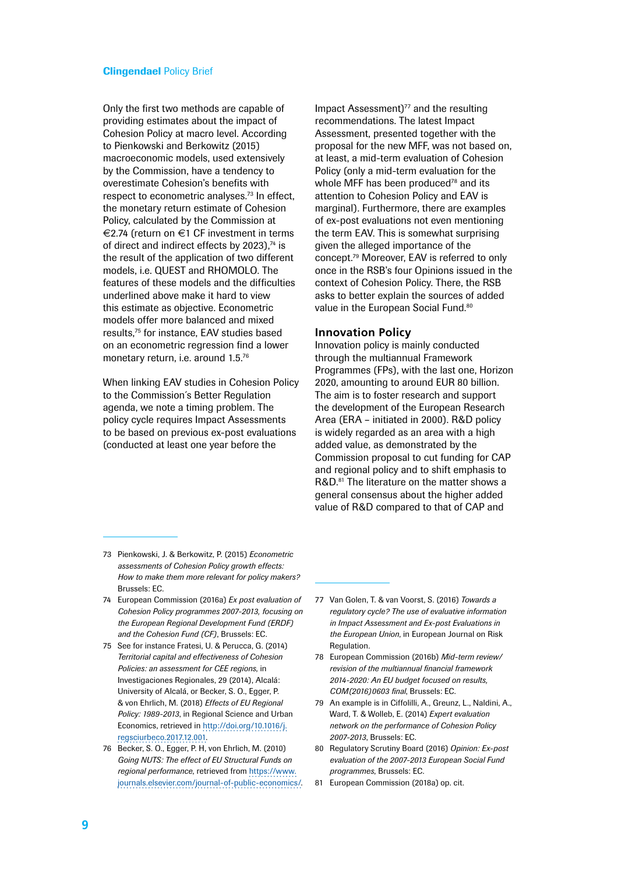Only the first two methods are capable of providing estimates about the impact of Cohesion Policy at macro level. According to Pienkowski and Berkowitz (2015) macroeconomic models, used extensively by the Commission, have a tendency to overestimate Cohesion's benefits with respect to econometric analyses.<sup>73</sup> In effect, the monetary return estimate of Cohesion Policy, calculated by the Commission at €2.74 (return on €1 CF investment in terms of direct and indirect effects by 2023).<sup>74</sup> is the result of the application of two different models, i.e. QUEST and RHOMOLO. The features of these models and the difficulties underlined above make it hard to view this estimate as objective. Econometric models offer more balanced and mixed results,75 for instance, EAV studies based on an econometric regression find a lower monetary return, i.e. around 1.5.76

When linking EAV studies in Cohesion Policy to the Commission´s Better Regulation agenda, we note a timing problem. The policy cycle requires Impact Assessments to be based on previous ex-post evaluations (conducted at least one year before the

Impact Assessment) $77$  and the resulting recommendations. The latest Impact Assessment, presented together with the proposal for the new MFF, was not based on, at least, a mid-term evaluation of Cohesion Policy (only a mid-term evaluation for the whole MFF has been produced<sup>78</sup> and its attention to Cohesion Policy and EAV is marginal). Furthermore, there are examples of ex-post evaluations not even mentioning the term EAV. This is somewhat surprising given the alleged importance of the concept.79 Moreover, EAV is referred to only once in the RSB's four Opinions issued in the context of Cohesion Policy. There, the RSB asks to better explain the sources of added value in the European Social Fund.<sup>80</sup>

#### **Innovation Policy**

Innovation policy is mainly conducted through the multiannual Framework Programmes (FPs), with the last one, Horizon 2020, amounting to around EUR 80 billion. The aim is to foster research and support the development of the European Research Area (ERA – initiated in 2000). R&D policy is widely regarded as an area with a high added value, as demonstrated by the Commission proposal to cut funding for CAP and regional policy and to shift emphasis to R&D.<sup>81</sup> The literature on the matter shows a general consensus about the higher added value of R&D compared to that of CAP and

- 73 Pienkowski, J. & Berkowitz, P. (2015) *Econometric assessments of Cohesion Policy growth effects: How to make them more relevant for policy makers?* Brussels: EC.
- 74 European Commission (2016a) *Ex post evaluation of Cohesion Policy programmes 2007-2013, focusing on the European Regional Development Fund (ERDF) and the Cohesion Fund (CF)*, Brussels: EC.
- 75 See for instance Fratesi, U. & Perucca, G. (2014) *Territorial capital and effectiveness of Cohesion Policies: an assessment for CEE regions*, in Investigaciones Regionales, 29 (2014), Alcalá: University of Alcalá, or Becker, S. O., Egger, P. & von Ehrlich, M. (2018) *Effects of EU Regional Policy: 1989-2013*, in Regional Science and Urban Economics, retrieved in [http://doi.org/10.1016/j.](http://doi.org/10.1016/j.regsciurbeco.2017.12.001) [regsciurbeco.2017.12.001](http://doi.org/10.1016/j.regsciurbeco.2017.12.001).
- 76 Becker, S. O., Egger, P. H, von Ehrlich, M. (2010) *Going NUTS: The effect of EU Structural Funds on regional performance*, retrieved from [https://www.](https://www.journals.elsevier.com/journal-of-public-economics/) [journals.elsevier.com/journal-of-public-economics/.](https://www.journals.elsevier.com/journal-of-public-economics/)
- 77 Van Golen, T. & van Voorst, S. (2016) *Towards a regulatory cycle? The use of evaluative information in Impact Assessment and Ex-post Evaluations in the European Union*, in European Journal on Risk **Regulation.**
- 78 European Commission (2016b) *Mid-term review/ revision of the multiannual financial framework 2014-2020: An EU budget focused on results, COM(2016)0603 final*, Brussels: EC.
- 79 An example is in Ciffolilli, A., Greunz, L., Naldini, A., Ward, T. & Wolleb, E. (2014) *Expert evaluation network on the performance of Cohesion Policy 2007-2013*, Brussels: EC.
- 80 Regulatory Scrutiny Board (2016) *Opinion: Ex-post evaluation of the 2007-2013 European Social Fund programmes*, Brussels: EC.
- 81 European Commission (2018a) op. cit.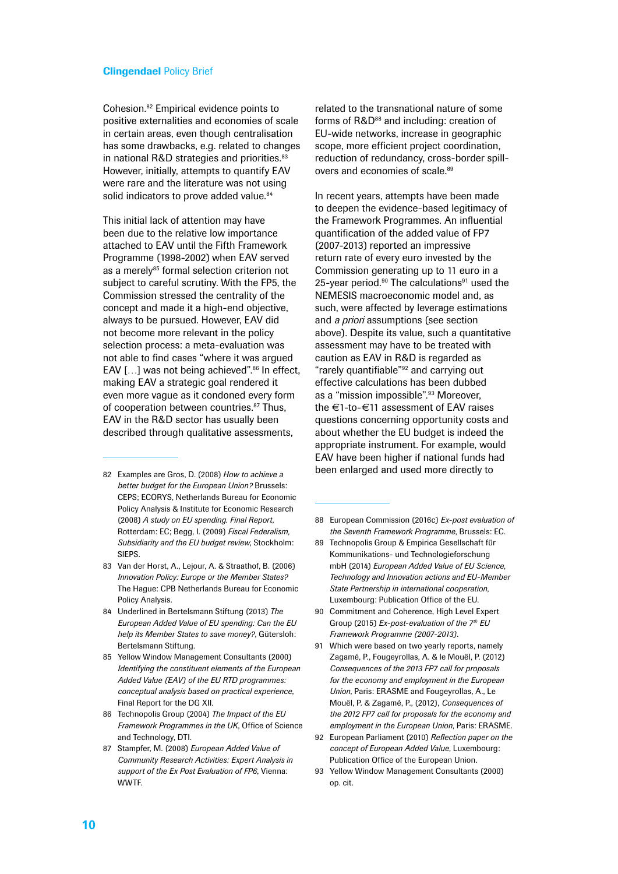Cohesion.82 Empirical evidence points to positive externalities and economies of scale in certain areas, even though centralisation has some drawbacks, e.g. related to changes in national R&D strategies and priorities.<sup>83</sup> However, initially, attempts to quantify EAV were rare and the literature was not using solid indicators to prove added value.<sup>84</sup>

This initial lack of attention may have been due to the relative low importance attached to EAV until the Fifth Framework Programme (1998-2002) when EAV served as a merely<sup>85</sup> formal selection criterion not subject to careful scrutiny. With the FP5, the Commission stressed the centrality of the concept and made it a high-end objective, always to be pursued. However, EAV did not become more relevant in the policy selection process: a meta-evaluation was not able to find cases "where it was argued EAV [...] was not being achieved".<sup>86</sup> In effect, making EAV a strategic goal rendered it even more vague as it condoned every form of cooperation between countries.<sup>87</sup> Thus, EAV in the R&D sector has usually been described through qualitative assessments,

- 82 Examples are Gros, D. (2008) *How to achieve a better budget for the European Union?* Brussels: CEPS; ECORYS, Netherlands Bureau for Economic Policy Analysis & Institute for Economic Research (2008) *A study on EU spending. Final Report*, Rotterdam: EC; Begg, I. (2009) *Fiscal Federalism, Subsidiarity and the EU budget review*, Stockholm: SIEPS.
- 83 Van der Horst, A., Lejour, A. & Straathof, B. (2006) *Innovation Policy: Europe or the Member States?* The Hague: CPB Netherlands Bureau for Economic Policy Analysis.
- 84 Underlined in Bertelsmann Stiftung (2013) *The European Added Value of EU spending: Can the EU help its Member States to save money?*, Gütersloh: Bertelsmann Stiftung.
- 85 Yellow Window Management Consultants (2000) *Identifying the constituent elements of the European Added Value (EAV) of the EU RTD programmes: conceptual analysis based on practical experience*, Final Report for the DG XII.
- 86 Technopolis Group (2004) *The Impact of the EU Framework Programmes in the UK*, Office of Science and Technology, DTI.
- 87 Stampfer, M. (2008) *European Added Value of Community Research Activities: Expert Analysis in support of the Ex Post Evaluation of FP6*, Vienna: WWTF.

related to the transnational nature of some forms of R&D<sup>88</sup> and including: creation of EU-wide networks, increase in geographic scope, more efficient project coordination, reduction of redundancy, cross-border spillovers and economies of scale.<sup>89</sup>

In recent years, attempts have been made to deepen the evidence-based legitimacy of the Framework Programmes. An influential quantification of the added value of FP7 (2007-2013) reported an impressive return rate of every euro invested by the Commission generating up to 11 euro in a 25-year period. $90$  The calculations $91$  used the NEMESIS macroeconomic model and, as such, were affected by leverage estimations and *a priori* assumptions (see section above). Despite its value, such a quantitative assessment may have to be treated with caution as EAV in R&D is regarded as "rarely quantifiable"92 and carrying out effective calculations has been dubbed as a "mission impossible".93 Moreover, the €1-to-€11 assessment of EAV raises questions concerning opportunity costs and about whether the EU budget is indeed the appropriate instrument. For example, would EAV have been higher if national funds had been enlarged and used more directly to

- 88 European Commission (2016c) *Ex-post evaluation of the Seventh Framework Programme*, Brussels: EC.
- 89 Technopolis Group & Empirica Gesellschaft für Kommunikations- und Technologieforschung mbH (2014) *European Added Value of EU Science, Technology and Innovation actions and EU-Member State Partnership in international cooperation*, Luxembourg: Publication Office of the EU.
- 90 Commitment and Coherence, High Level Expert Group (2015) *Ex-post-evaluation of the 7th EU Framework Programme (2007-2013)*.
- 91 Which were based on two yearly reports, namely Zagamé, P., Fougeyrollas, A. & le Mouël, P. (2012) *Consequences of the 2013 FP7 call for proposals for the economy and employment in the European Union*, Paris: ERASME and Fougeyrollas, A., Le Mouël, P. & Zagamé, P., (2012), *Consequences of the 2012 FP7 call for proposals for the economy and employment in the European Union*, Paris: ERASME.
- 92 European Parliament (2010) *Reflection paper on the concept of European Added Value*, Luxembourg: Publication Office of the European Union.
- 93 Yellow Window Management Consultants (2000) op. cit.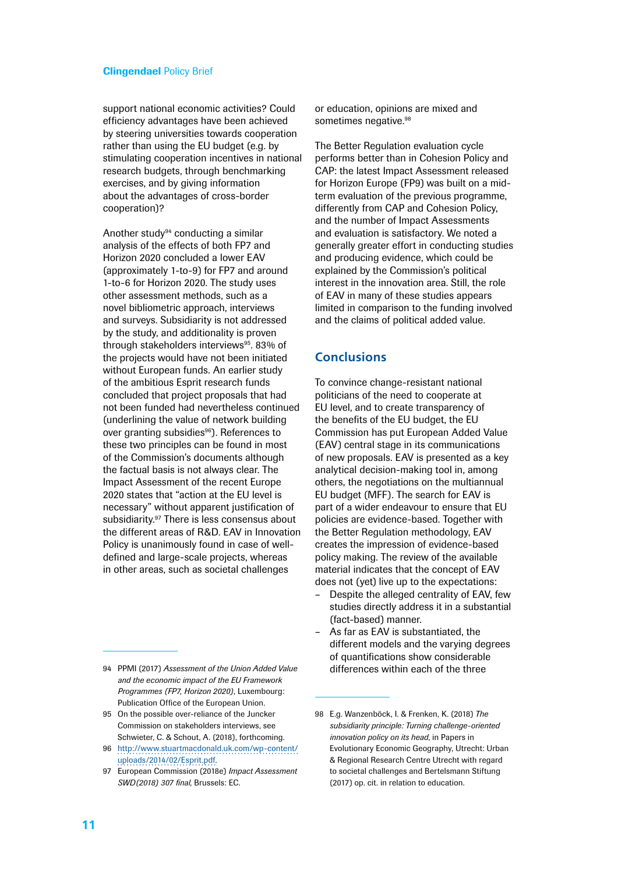support national economic activities? Could efficiency advantages have been achieved by steering universities towards cooperation rather than using the EU budget (e.g. by stimulating cooperation incentives in national research budgets, through benchmarking exercises, and by giving information about the advantages of cross-border cooperation)?

Another study<sup>94</sup> conducting a similar analysis of the effects of both FP7 and Horizon 2020 concluded a lower EAV (approximately 1-to-9) for FP7 and around 1-to-6 for Horizon 2020. The study uses other assessment methods, such as a novel bibliometric approach, interviews and surveys. Subsidiarity is not addressed by the study, and additionality is proven through stakeholders interviews<sup>95</sup>. 83% of the projects would have not been initiated without European funds. An earlier study of the ambitious Esprit research funds concluded that project proposals that had not been funded had nevertheless continued (underlining the value of network building over granting subsidies<sup>96</sup>). References to these two principles can be found in most of the Commission's documents although the factual basis is not always clear. The Impact Assessment of the recent Europe 2020 states that "action at the EU level is necessary" without apparent justification of subsidiarity.97 There is less consensus about the different areas of R&D. EAV in Innovation Policy is unanimously found in case of welldefined and large-scale projects, whereas in other areas, such as societal challenges

94 PPMI (2017) *Assessment of the Union Added Value and the economic impact of the EU Framework Programmes (FP7, Horizon 2020)*, Luxembourg: Publication Office of the European Union.

95 On the possible over-reliance of the Juncker Commission on stakeholders interviews, see Schwieter, C. & Schout, A. (2018), forthcoming.

96 [http://www.stuartmacdonald.uk.com/wp-content/](http://www.stuartmacdonald.uk.com/wp-content/uploads/2014/02/Esprit.pdf) [uploads/2014/02/Esprit.pdf](http://www.stuartmacdonald.uk.com/wp-content/uploads/2014/02/Esprit.pdf).

97 European Commission (2018e) *Impact Assessment SWD(2018) 307 final*, Brussels: EC.

or education, opinions are mixed and sometimes negative.<sup>98</sup>

The Better Regulation evaluation cycle performs better than in Cohesion Policy and CAP: the latest Impact Assessment released for Horizon Europe (FP9) was built on a midterm evaluation of the previous programme, differently from CAP and Cohesion Policy, and the number of Impact Assessments and evaluation is satisfactory. We noted a generally greater effort in conducting studies and producing evidence, which could be explained by the Commission's political interest in the innovation area. Still, the role of EAV in many of these studies appears limited in comparison to the funding involved and the claims of political added value.

## **Conclusions**

To convince change-resistant national politicians of the need to cooperate at EU level, and to create transparency of the benefits of the EU budget, the EU Commission has put European Added Value (EAV) central stage in its communications of new proposals. EAV is presented as a key analytical decision-making tool in, among others, the negotiations on the multiannual EU budget (MFF). The search for EAV is part of a wider endeavour to ensure that EU policies are evidence-based. Together with the Better Regulation methodology, EAV creates the impression of evidence-based policy making. The review of the available material indicates that the concept of EAV does not (yet) live up to the expectations:

- Despite the alleged centrality of EAV, few studies directly address it in a substantial (fact-based) manner.
- As far as EAV is substantiated, the different models and the varying degrees of quantifications show considerable differences within each of the three

<sup>98</sup> E.g. Wanzenböck, I. & Frenken, K. (2018) *The subsidiarity principle: Turning challenge-oriented innovation policy on its head*, in Papers in Evolutionary Economic Geography, Utrecht: Urban & Regional Research Centre Utrecht with regard to societal challenges and Bertelsmann Stiftung (2017) op. cit. in relation to education.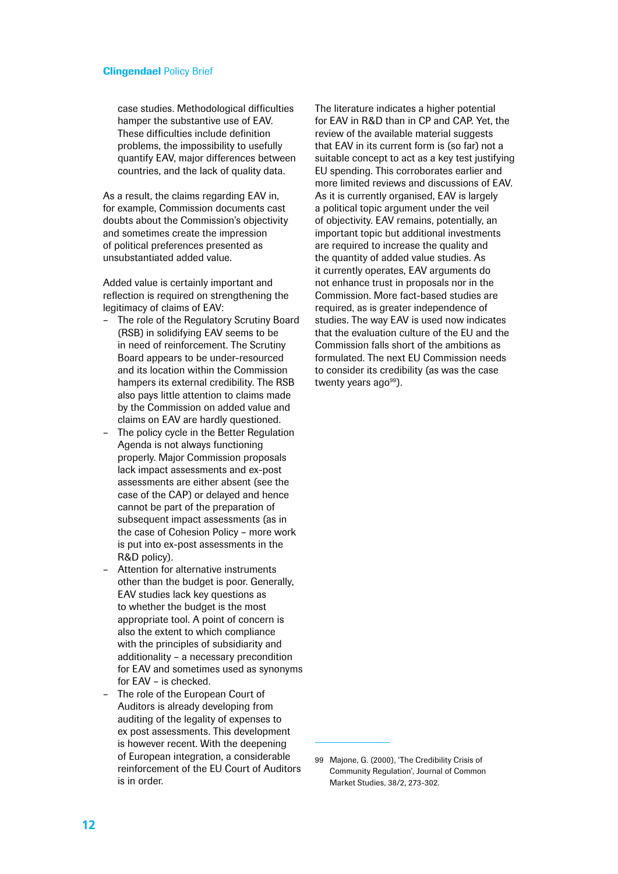case studies. Methodological difficulties hamper the substantive use of EAV. These difficulties include definition problems, the impossibility to usefully quantify EAV, major differences between countries, and the lack of quality data.

As a result, the claims regarding EAV in, for example, Commission documents cast doubts about the Commission's objectivity and sometimes create the impression of political preferences presented as unsubstantiated added value.

Added value is certainly important and reflection is required on strengthening the legitimacy of claims of EAV:

- The role of the Regulatory Scrutiny Board (RSB) in solidifying EAV seems to be in need of reinforcement. The Scrutiny Board appears to be under-resourced and its location within the Commission hampers its external credibility. The RSB also pays little attention to claims made by the Commission on added value and claims on EAV are hardly questioned.
- The policy cycle in the Better Regulation Agenda is not always functioning properly. Major Commission proposals lack impact assessments and ex-post assessments are either absent (see the case of the CAP) or delayed and hence cannot be part of the preparation of subsequent impact assessments (as in the case of Cohesion Policy – more work is put into ex-post assessments in the R&D policy).
- Attention for alternative instruments other than the budget is poor. Generally, EAV studies lack key questions as to whether the budget is the most appropriate tool. A point of concern is also the extent to which compliance with the principles of subsidiarity and additionality – a necessary precondition for EAV and sometimes used as synonyms for EAV – is checked.
- The role of the European Court of Auditors is already developing from auditing of the legality of expenses to ex post assessments. This development is however recent. With the deepening of European integration, a considerable reinforcement of the EU Court of Auditors is in order.

The literature indicates a higher potential for EAV in R&D than in CP and CAP. Yet, the review of the available material suggests that EAV in its current form is (so far) not a suitable concept to act as a key test justifying EU spending. This corroborates earlier and more limited reviews and discussions of EAV. As it is currently organised, EAV is largely a political topic argument under the veil of objectivity. EAV remains, potentially, an important topic but additional investments are required to increase the quality and the quantity of added value studies. As it currently operates, EAV arguments do not enhance trust in proposals nor in the Commission. More fact-based studies are required, as is greater independence of studies. The way EAV is used now indicates that the evaluation culture of the EU and the Commission falls short of the ambitions as formulated. The next EU Commission needs to consider its credibility (as was the case twenty years ago<sup>99</sup>).

<sup>99</sup> Majone, G. (2000), 'The Credibility Crisis of Community Regulation', Journal of Common Market Studies, 38/2, 273-302.